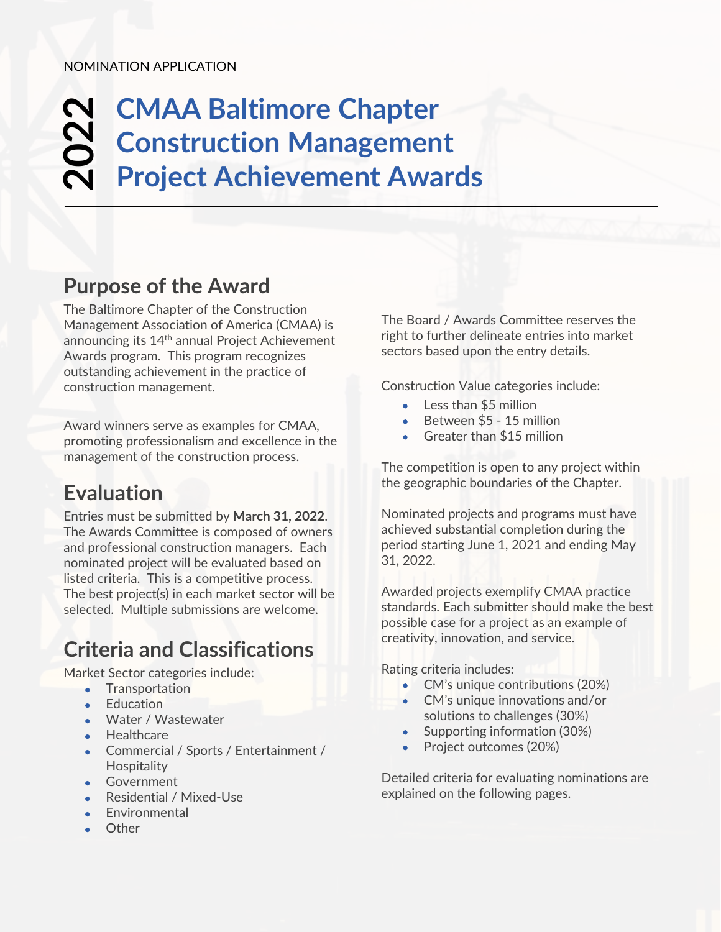### **CMAA Baltimore Chapter Construction Management Project Achievement Awards 202 2**

### **Purpose of the Award**

The Baltimore Chapter of the Construction Management Association of America (CMAA) is announcing its 14<sup>th</sup> annual Project Achievement Awards program. This program recognizes outstanding achievement in the practice of construction management.

Award winners serve as examples for CMAA, promoting professionalism and excellence in the management of the construction process.

## **Evaluation**

Entries must be submitted by **March 31, 2022**. The Awards Committee is composed of owners and professional construction managers. Each nominated project will be evaluated based on listed criteria. This is a competitive process. The best project(s) in each market sector will be selected. Multiple submissions are welcome.

## **Criteria and Classifications**

Market Sector categories include:

- Transportation
- **Education**
- Water / Wastewater
- Healthcare
- Commercial / Sports / Entertainment / **Hospitality**
- **Government**
- Residential / Mixed-Use
- **Fnvironmental**
- Other

The Board / Awards Committee reserves the right to further delineate entries into market sectors based upon the entry details.

Construction Value categories include:

- Less than \$5 million
- Between \$5 15 million
- Greater than \$15 million

The competition is open to any project within the geographic boundaries of the Chapter.

Nominated projects and programs must have achieved substantial completion during the period starting June 1, 2021 and ending May 31, 2022.

Awarded projects exemplify CMAA practice standards. Each submitter should make the best possible case for a project as an example of creativity, innovation, and service.

Rating criteria includes:

- CM's unique contributions (20%)
- CM's unique innovations and/or solutions to challenges (30%)
- Supporting information (30%)
- Project outcomes (20%)

Detailed criteria for evaluating nominations are explained on the following pages.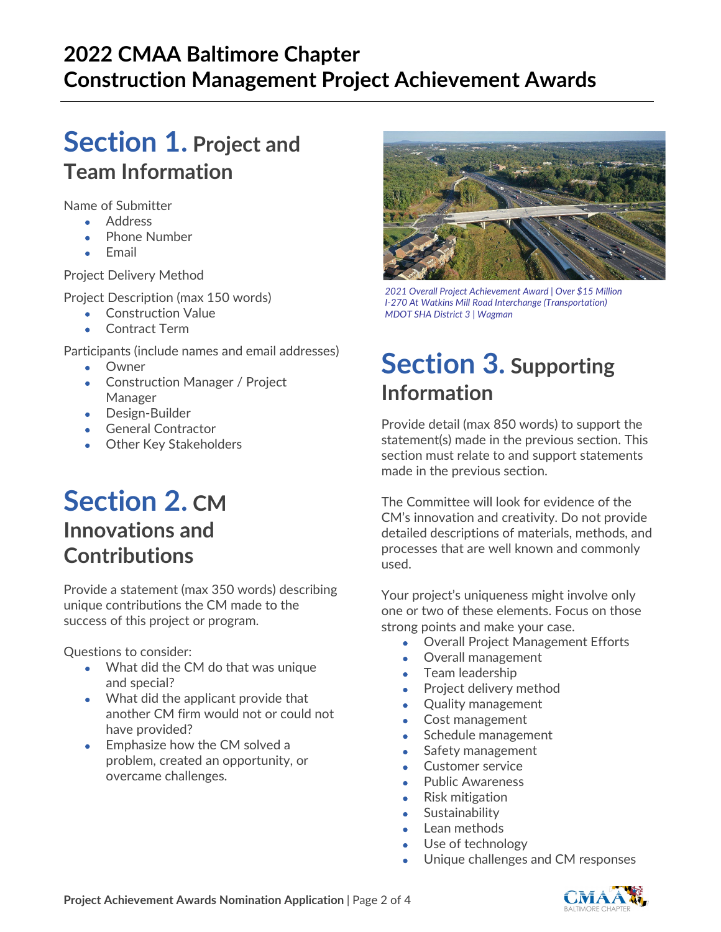## **2022 CMAA Baltimore Chapter Construction Management Project Achievement Awards**

## **Section 1. Project and Team Information**

Name of Submitter

- Address
- Phone Number
- **Email**

Project Delivery Method

Project Description (max 150 words)

- Construction Value
- Contract Term

Participants (include names and email addresses)

- **Owner**
- Construction Manager / Project Manager
- Design-Builder
- General Contractor
- Other Key Stakeholders

## **Section 2. CM Innovations and Contributions**

Provide a statement (max 350 words) describing unique contributions the CM made to the success of this project or program.

Questions to consider:

- What did the CM do that was unique and special?
- What did the applicant provide that another CM firm would not or could not have provided?
- Emphasize how the CM solved a problem, created an opportunity, or overcame challenges.



*2021 Overall Project Achievement Award | Over \$15 Million I-270 At Watkins Mill Road Interchange (Transportation) MDOT SHA District 3 | Wagman*

# **Section 3. Supporting Information**

Provide detail (max 850 words) to support the statement(s) made in the previous section. This section must relate to and support statements made in the previous section.

The Committee will look for evidence of the CM's innovation and creativity. Do not provide detailed descriptions of materials, methods, and processes that are well known and commonly used.

Your project's uniqueness might involve only one or two of these elements. Focus on those strong points and make your case.

- Overall Project Management Efforts
- Overall management
- Team leadership
- Project delivery method
- Quality management
- Cost management
- Schedule management
- Safety management
- Customer service
- Public Awareness
- Risk mitigation
- **Sustainability**
- Lean methods
- Use of technology
- Unique challenges and CM responses

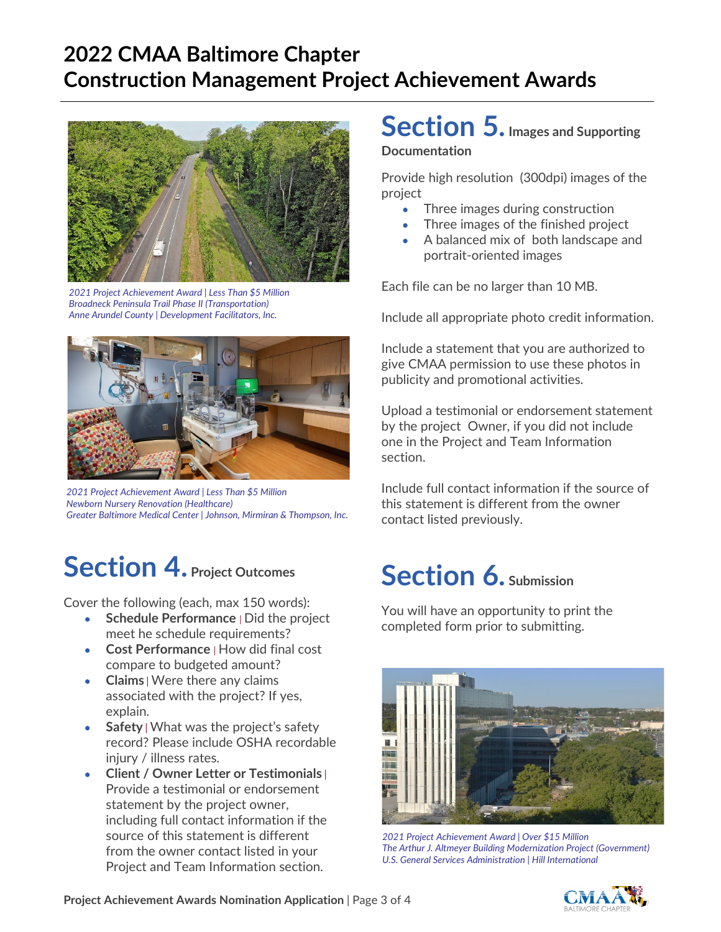## **2022 CMAA Baltimore Chapter Construction Management Project Achievement Awards**



*2021 Project Achievement Award | Less Than \$5 Million Broadneck Peninsula Trail Phase II (Transportation) Anne Arundel County | Development Facilitators, Inc.*



*2021 Project Achievement Award | Less Than \$5 Million Newborn Nursery Renovation (Healthcare) Greater Baltimore Medical Center | Johnson, Mirmiran & Thompson, Inc.*

# **Section 4. Project Outcomes**

Cover the following (each, max 150 words):

- **Schedule Performance** *|* Did the project meet he schedule requirements?
- **Cost Performance** *|* How did final cost compare to budgeted amount?
- **Claims** | Were there any claims associated with the project? If yes, explain.
- **Safety** | What was the project's safety record? Please include OSHA recordable injury / illness rates.
- **Client / Owner Letter or Testimonials** | Provide a testimonial or endorsement statement by the project owner, including full contact information if the source of this statement is different from the owner contact listed in your Project and Team Information section.

# **Section 5. Images and Supporting**

#### **Documentation**

Provide high resolution (300dpi) images of the project

- Three images during construction
- Three images of the finished project
- A balanced mix of both landscape and portrait-oriented images

Each file can be no larger than 10 MB.

Include all appropriate photo credit information.

Include a statement that you are authorized to give CMAA permission to use these photos in publicity and promotional activities.

Upload a testimonial or endorsement statement by the project Owner, if you did not include one in the Project and Team Information section.

Include full contact information if the source of this statement is different from the owner contact listed previously.

# **Section 6. Submission**

You will have an opportunity to print the completed form prior to submitting.



*2021 Project Achievement Award | Over \$15 Million The Arthur J. Altmeyer Building Modernization Project (Government) U.S. General Services Administration | Hill International*